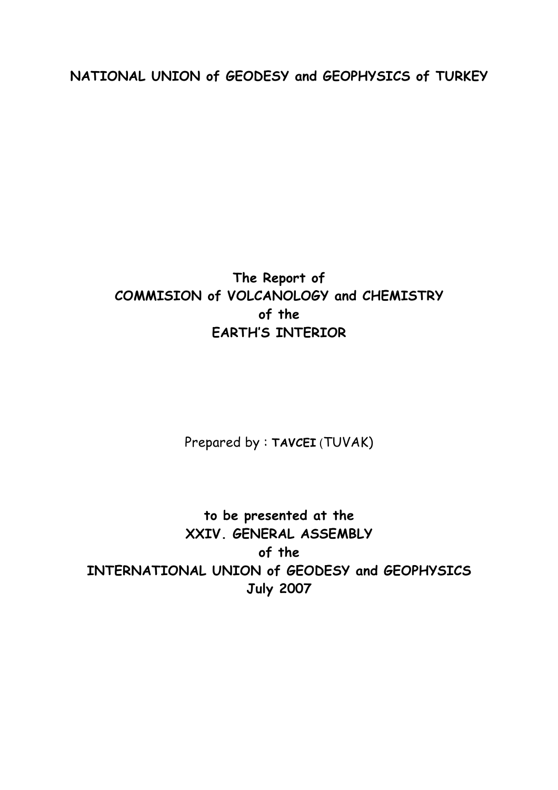**NATIONAL UNION of GEODESY and GEOPHYSICS of TURKEY** 

## **The Report of COMMISION of VOLCANOLOGY and CHEMISTRY of the EARTH'S INTERIOR**

Prepared by : **TAVCEI** (TUVAK)

**to be presented at the XXIV. GENERAL ASSEMBLY of the INTERNATIONAL UNION of GEODESY and GEOPHYSICS July 2007**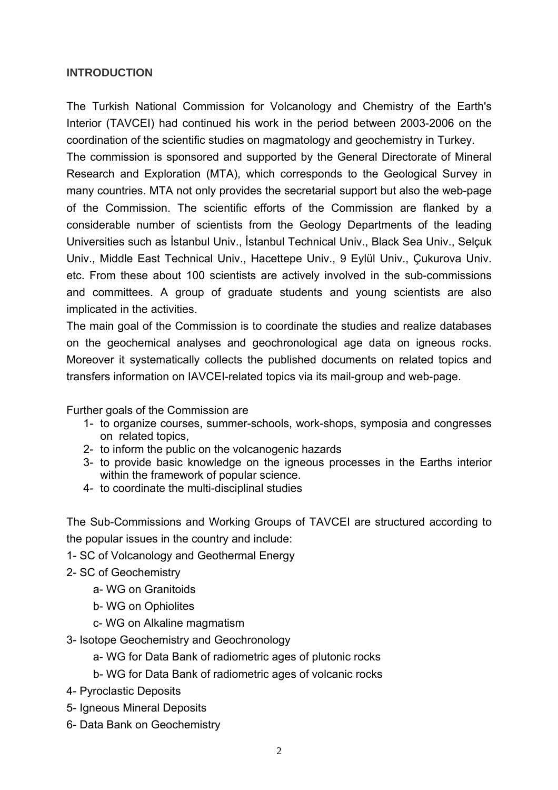## **INTRODUCTION**

The Turkish National Commission for Volcanology and Chemistry of the Earth's Interior (TAVCEI) had continued his work in the period between 2003-2006 on the coordination of the scientific studies on magmatology and geochemistry in Turkey.

The commission is sponsored and supported by the General Directorate of Mineral Research and Exploration (MTA), which corresponds to the Geological Survey in many countries. MTA not only provides the secretarial support but also the web-page of the Commission. The scientific efforts of the Commission are flanked by a considerable number of scientists from the Geology Departments of the leading Universities such as İstanbul Univ., İstanbul Technical Univ., Black Sea Univ., Selçuk Univ., Middle East Technical Univ., Hacettepe Univ., 9 Eylül Univ., Çukurova Univ. etc. From these about 100 scientists are actively involved in the sub-commissions and committees. A group of graduate students and young scientists are also implicated in the activities.

The main goal of the Commission is to coordinate the studies and realize databases on the geochemical analyses and geochronological age data on igneous rocks. Moreover it systematically collects the published documents on related topics and transfers information on IAVCEI-related topics via its mail-group and web-page.

Further goals of the Commission are

- 1- to organize courses, summer-schools, work-shops, symposia and congresses on related topics,
- 2- to inform the public on the volcanogenic hazards
- 3- to provide basic knowledge on the igneous processes in the Earths interior within the framework of popular science.
- 4- to coordinate the multi-disciplinal studies

The Sub-Commissions and Working Groups of TAVCEI are structured according to the popular issues in the country and include:

- 1- SC of Volcanology and Geothermal Energy
- 2- SC of Geochemistry
	- a- WG on Granitoids
	- b- WG on Ophiolites
	- c- WG on Alkaline magmatism
- 3- Isotope Geochemistry and Geochronology
	- a- WG for Data Bank of radiometric ages of plutonic rocks
	- b- WG for Data Bank of radiometric ages of volcanic rocks
- 4- Pyroclastic Deposits
- 5- Igneous Mineral Deposits
- 6- Data Bank on Geochemistry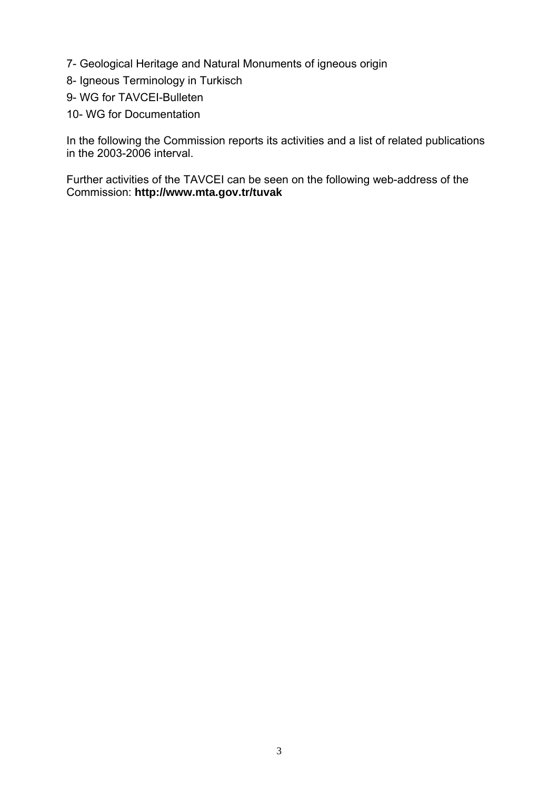- 7- Geological Heritage and Natural Monuments of igneous origin
- 8- Igneous Terminology in Turkisch
- 9- WG for TAVCEI-Bulleten
- 10- WG for Documentation

In the following the Commission reports its activities and a list of related publications in the 2003-2006 interval.

Further activities of the TAVCEI can be seen on the following web-address of the Commission: **http://www.mta.gov.tr/tuvak**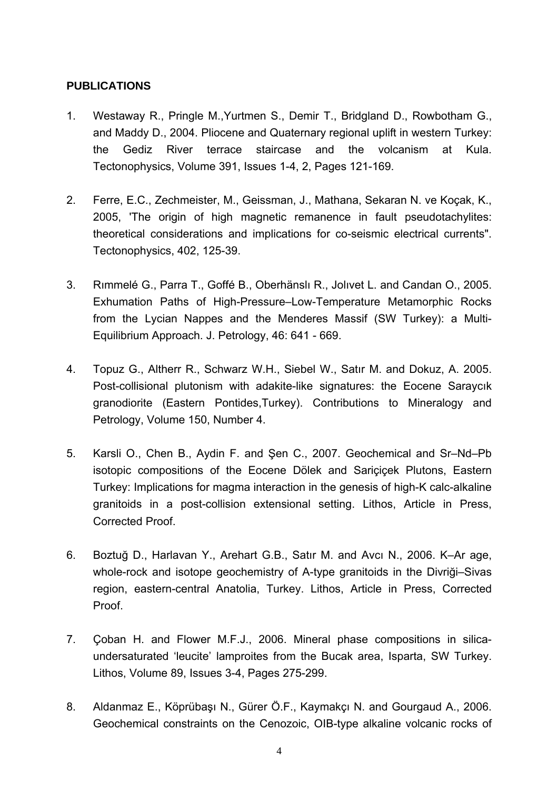## **PUBLICATIONS**

- 1. Westaway R., Pringle M.,Yurtmen S., Demir T., Bridgland D., Rowbotham G., and Maddy D., 2004. Pliocene and Quaternary regional uplift in western Turkey: the Gediz River terrace staircase and the volcanism at Kula. Tectonophysics, Volume 391, Issues 1-4, 2, Pages 121-169.
- 2. Ferre, E.C., Zechmeister, M., Geissman, J., Mathana, Sekaran N. ve Koçak, K., 2005, 'The origin of high magnetic remanence in fault pseudotachylites: theoretical considerations and implications for co-seismic electrical currents". Tectonophysics, 402, 125-39.
- 3. Rımmelé G., Parra T., Goffé B., Oberhänslı R., Jolıvet L. and Candan O., 2005. Exhumation Paths of High-Pressure–Low-Temperature Metamorphic Rocks from the Lycian Nappes and the Menderes Massif (SW Turkey): a Multi-Equilibrium Approach. J. Petrology, 46: 641 - 669.
- 4. [Topuz](http://www.springerlink.com/content/?Author=G%c3%bcltekin+Topuz) G., [Altherr](http://www.springerlink.com/content/?Author=Rainer+Altherr) R., [Schwarz](http://www.springerlink.com/content/?Author=Winfried+H.+Schwarz) W.H., [Siebel](http://www.springerlink.com/content/?Author=Wolfgang+Siebel) W., [Satır](http://www.springerlink.com/content/?Author=Muharrem+Sat%c4%b1r) M. and [Dokuz](http://www.springerlink.com/content/?Author=Abdurrahman+Dokuz), A. 2005. [Post-collisional plutonism with adakite-like signatures: the Eocene Saraycık](http://www.springerlink.com/content/k41g2470103363u4/?p=e9417535493f457d98708b5ed3165a57&pi=12)  [granodiorite \(Eastern Pontides,Turkey\).](http://www.springerlink.com/content/k41g2470103363u4/?p=e9417535493f457d98708b5ed3165a57&pi=12) Contributions to Mineralogy and Petrology, Volume 150, Number 4.
- 5. Karsli O., Chen B., Aydin F. and Şen C., 2007. Geochemical and Sr–Nd–Pb isotopic compositions of the Eocene Dölek and Sariçiçek Plutons, Eastern Turkey: Implications for magma interaction in the genesis of high-K calc-alkaline granitoids in a post-collision extensional setting. Lithos, Article in Press, Corrected Proof.
- 6. Boztuğ D., Harlavan Y., Arehart G.B., Satır M. and Avcı N., 2006. K–Ar age, whole-rock and isotope geochemistry of A-type granitoids in the Divriği–Sivas region, eastern-central Anatolia, Turkey. Lithos, Article in Press, Corrected Proof.
- 7. Çoban H. and Flower M.F.J., 2006. Mineral phase compositions in silicaundersaturated 'leucite' lamproites from the Bucak area, Isparta, SW Turkey. Lithos, Volume 89, Issues 3-4, Pages 275-299.
- 8. Aldanmaz E., Köprübaşı N., Gürer Ö.F., Kaymakçı N. and Gourgaud A., 2006. Geochemical constraints on the Cenozoic, OIB-type alkaline volcanic rocks of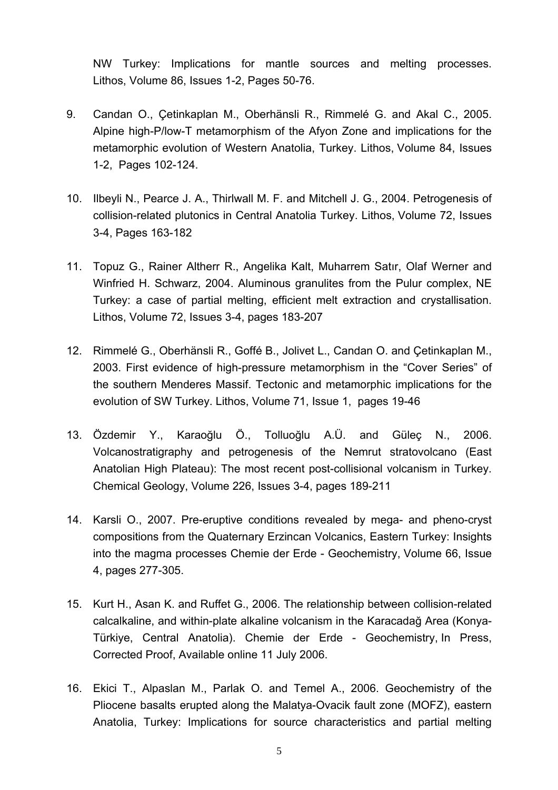NW Turkey: Implications for mantle sources and melting processes. Lithos, Volume 86, Issues 1-2, Pages 50-76.

- 9. Candan O., Çetinkaplan M., Oberhänsli R., Rimmelé G. and Akal C., 2005. Alpine high-P/low-T metamorphism of the Afyon Zone and implications for the metamorphic evolution of Western Anatolia, Turkey. Lithos, Volume 84, Issues 1-2, Pages 102-124.
- 10. Ilbeyli N., Pearce J. A., Thirlwall M. F. and Mitchell J. G., 2004. Petrogenesis of collision-related plutonics in Central Anatolia Turkey. Lithos, Volume 72, Issues 3-4, Pages 163-182
- 11. Topuz G., Rainer Altherr R., Angelika Kalt, Muharrem Satır, Olaf Werner and Winfried H. Schwarz, 2004. Aluminous granulites from the Pulur complex, NE Turkey: a case of partial melting, efficient melt extraction and crystallisation. Lithos, Volume 72, Issues 3-4, pages 183-207
- 12. Rimmelé G., Oberhänsli R., Goffé B., Jolivet L., Candan O. and Çetinkaplan M., 2003. First evidence of high-pressure metamorphism in the "Cover Series" of the southern Menderes Massif. Tectonic and metamorphic implications for the evolution of SW Turkey. Lithos, Volume 71, Issue 1, pages 19-46
- 13. Özdemir Y., Karaoğlu Ö., Tolluoğlu A.Ü. and Güleç N., 2006. Volcanostratigraphy and petrogenesis of the Nemrut stratovolcano (East Anatolian High Plateau): The most recent post-collisional volcanism in Turkey. Chemical Geology, Volume 226, Issues 3-4, pages 189-211
- 14. Karsli O., 2007. Pre-eruptive conditions revealed by mega- and pheno-cryst compositions from the Quaternary Erzincan Volcanics, Eastern Turkey: Insights into the magma processes Chemie der Erde - Geochemistry, Volume 66, Issue 4, pages 277-305.
- 15. Kurt H., Asan K. and Ruffet G., 2006. The relationship between collision-related calcalkaline, and within-plate alkaline volcanism in the Karacadağ Area (Konya-Türkiye, Central Anatolia). Chemie der Erde - Geochemistry, In Press, Corrected Proof, Available online 11 July 2006.
- 16. Ekici T., Alpaslan M., Parlak O. and Temel A., 2006. Geochemistry of the Pliocene basalts erupted along the Malatya-Ovacik fault zone (MOFZ), eastern Anatolia, Turkey: Implications for source characteristics and partial melting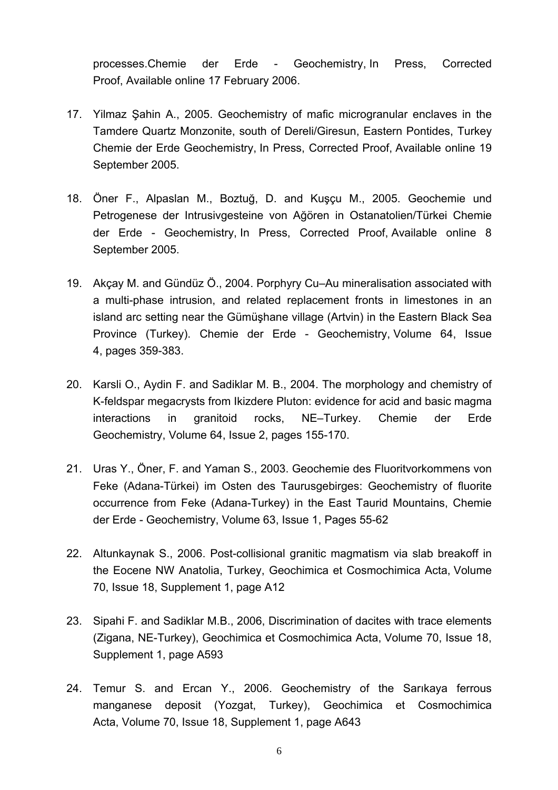processes.Chemie der Erde - Geochemistry, In Press, Corrected Proof, Available online 17 February 2006.

- 17. Yilmaz Şahin A., 2005. Geochemistry of mafic microgranular enclaves in the Tamdere Quartz Monzonite, south of Dereli/Giresun, Eastern Pontides, Turkey Chemie der Erde Geochemistry, In Press, Corrected Proof, Available online 19 September 2005.
- 18. Öner F., Alpaslan M., Boztuğ, D. and Kuşçu M., 2005. Geochemie und Petrogenese der Intrusivgesteine von Ağören in Ostanatolien/Türkei Chemie der Erde - Geochemistry, In Press, Corrected Proof, Available online 8 September 2005.
- 19. Akçay M. and Gündüz Ö., 2004. Porphyry Cu–Au mineralisation associated with a multi-phase intrusion, and related replacement fronts in limestones in an island arc setting near the Gümüşhane village (Artvin) in the Eastern Black Sea Province (Turkey). Chemie der Erde - Geochemistry, Volume 64, Issue 4, pages 359-383.
- 20. Karsli O., Aydin F. and Sadiklar M. B., 2004. The morphology and chemistry of K-feldspar megacrysts from Ikizdere Pluton: evidence for acid and basic magma interactions in granitoid rocks, NE–Turkey. Chemie der Erde Geochemistry, Volume 64, Issue 2, pages 155-170.
- 21. Uras Y., Öner, F. and Yaman S., 2003. Geochemie des Fluoritvorkommens von Feke (Adana-Türkei) im Osten des Taurusgebirges: Geochemistry of fluorite occurrence from Feke (Adana-Turkey) in the East Taurid Mountains, Chemie der Erde - Geochemistry, Volume 63, Issue 1, Pages 55-62
- 22. Altunkaynak S., 2006. Post-collisional granitic magmatism via slab breakoff in the Eocene NW Anatolia, Turkey, Geochimica et Cosmochimica Acta, Volume 70, Issue 18, Supplement 1, page A12
- 23. Sipahi F. and Sadiklar M.B., 2006, Discrimination of dacites with trace elements (Zigana, NE-Turkey), Geochimica et Cosmochimica Acta, Volume 70, Issue 18, Supplement 1, page A593
- 24. Temur S. and Ercan Y., 2006. Geochemistry of the Sarıkaya ferrous manganese deposit (Yozgat, Turkey), Geochimica et Cosmochimica Acta, Volume 70, Issue 18, Supplement 1, page A643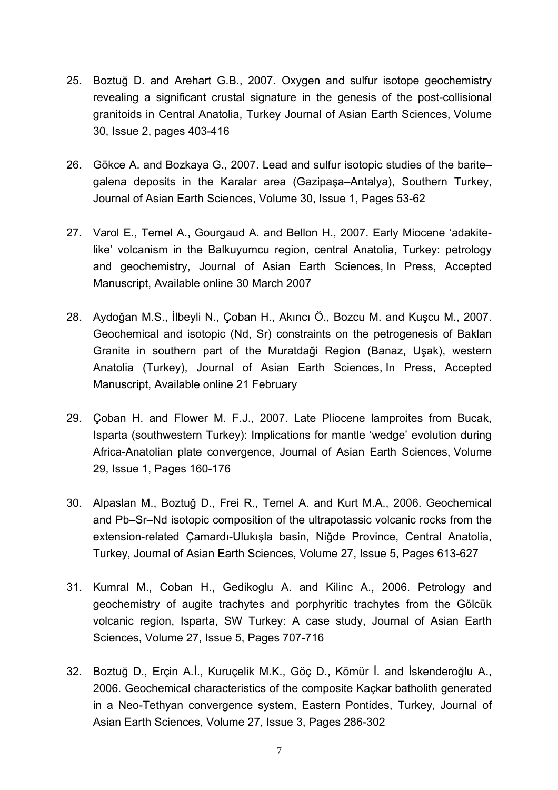- 25. Boztuğ D. and Arehart G.B., 2007. Oxygen and sulfur isotope geochemistry revealing a significant crustal signature in the genesis of the post-collisional granitoids in Central Anatolia, Turkey Journal of Asian Earth Sciences, Volume 30, Issue 2, pages 403-416
- 26. Gökce A. and Bozkaya G., 2007. Lead and sulfur isotopic studies of the barite– galena deposits in the Karalar area (Gazipaşa–Antalya), Southern Turkey, Journal of Asian Earth Sciences, Volume 30, Issue 1, Pages 53-62
- 27. Varol E., Temel A., Gourgaud A. and Bellon H., 2007. Early Miocene 'adakitelike' volcanism in the Balkuyumcu region, central Anatolia, Turkey: petrology and geochemistry, Journal of Asian Earth Sciences, In Press, Accepted Manuscript, Available online 30 March 2007
- 28. Aydoğan M.S., İlbeyli N., Çoban H., Akıncı Ö., Bozcu M. and Kuşcu M., 2007. Geochemical and isotopic (Nd, Sr) constraints on the petrogenesis of Baklan Granite in southern part of the Muratdaği Region (Banaz, Uşak), western Anatolia (Turkey), Journal of Asian Earth Sciences, In Press, Accepted Manuscript, Available online 21 February
- 29. Çoban H. and Flower M. F.J., 2007. Late Pliocene lamproites from Bucak, Isparta (southwestern Turkey): Implications for mantle 'wedge' evolution during Africa-Anatolian plate convergence, Journal of Asian Earth Sciences, Volume 29, Issue 1, Pages 160-176
- 30. Alpaslan M., Boztuğ D., Frei R., Temel A. and Kurt M.A., 2006. Geochemical and Pb–Sr–Nd isotopic composition of the ultrapotassic volcanic rocks from the extension-related Çamardı-Ulukışla basin, Niğde Province, Central Anatolia, Turkey, Journal of Asian Earth Sciences, Volume 27, Issue 5, Pages 613-627
- 31. Kumral M., Coban H., Gedikoglu A. and Kilinc A., 2006. Petrology and geochemistry of augite trachytes and porphyritic trachytes from the Gölcük volcanic region, Isparta, SW Turkey: A case study, Journal of Asian Earth Sciences, Volume 27, Issue 5, Pages 707-716
- 32. Boztuğ D., Erçin A.İ., Kuruçelik M.K., Göç D., Kömür İ. and İskenderoğlu A., 2006. Geochemical characteristics of the composite Kaçkar batholith generated in a Neo-Tethyan convergence system, Eastern Pontides, Turkey, Journal of Asian Earth Sciences, Volume 27, Issue 3, Pages 286-302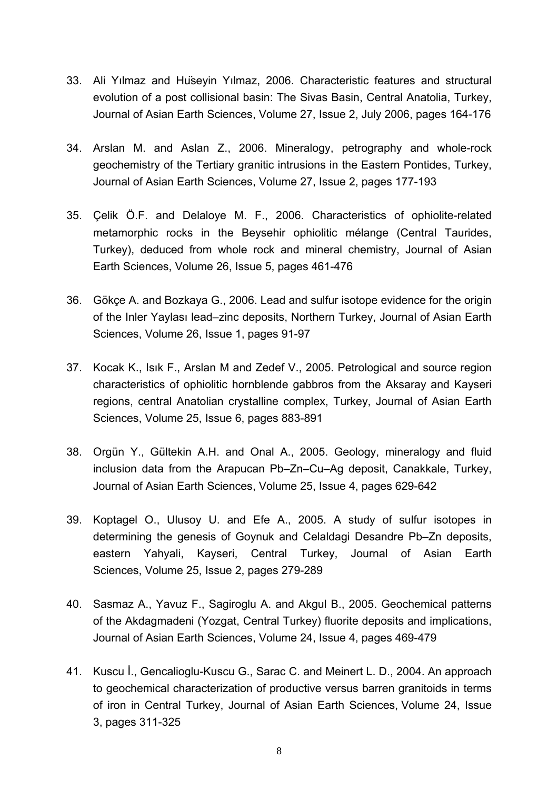- 33. Ali Yılmaz and Hüseyin Yılmaz, 2006. Characteristic features and structural evolution of a post collisional basin: The Sivas Basin, Central Anatolia, Turkey, Journal of Asian Earth Sciences, Volume 27, Issue 2, July 2006, pages 164-176
- 34. Arslan M. and Aslan Z., 2006. Mineralogy, petrography and whole-rock geochemistry of the Tertiary granitic intrusions in the Eastern Pontides, Turkey, Journal of Asian Earth Sciences, Volume 27, Issue 2, pages 177-193
- 35. Çelik Ö.F. and Delaloye M. F., 2006. Characteristics of ophiolite-related metamorphic rocks in the Beysehir ophiolitic mélange (Central Taurides, Turkey), deduced from whole rock and mineral chemistry, Journal of Asian Earth Sciences, Volume 26, Issue 5, pages 461-476
- 36. Gökçe A. and Bozkaya G., 2006. Lead and sulfur isotope evidence for the origin of the Inler Yaylası lead–zinc deposits, Northern Turkey, Journal of Asian Earth Sciences, Volume 26, Issue 1, pages 91-97
- 37. Kocak K., Isık F., Arslan M and Zedef V., 2005. Petrological and source region characteristics of ophiolitic hornblende gabbros from the Aksaray and Kayseri regions, central Anatolian crystalline complex, Turkey, Journal of Asian Earth Sciences, Volume 25, Issue 6, pages 883-891
- 38. Orgün Y., Gültekin A.H. and Onal A., 2005. Geology, mineralogy and fluid inclusion data from the Arapucan Pb–Zn–Cu–Ag deposit, Canakkale, Turkey, Journal of Asian Earth Sciences, Volume 25, Issue 4, pages 629-642
- 39. Koptagel O., Ulusoy U. and Efe A., 2005. A study of sulfur isotopes in determining the genesis of Goynuk and Celaldagi Desandre Pb–Zn deposits, eastern Yahyali, Kayseri, Central Turkey, Journal of Asian Earth Sciences, Volume 25, Issue 2, pages 279-289
- 40. Sasmaz A., Yavuz F., Sagiroglu A. and Akgul B., 2005. Geochemical patterns of the Akdagmadeni (Yozgat, Central Turkey) fluorite deposits and implications, Journal of Asian Earth Sciences, Volume 24, Issue 4, pages 469-479
- 41. Kuscu İ., Gencalioglu-Kuscu G., Sarac C. and Meinert L. D., 2004. An approach to geochemical characterization of productive versus barren granitoids in terms of iron in Central Turkey, Journal of Asian Earth Sciences, Volume 24, Issue 3, pages 311-325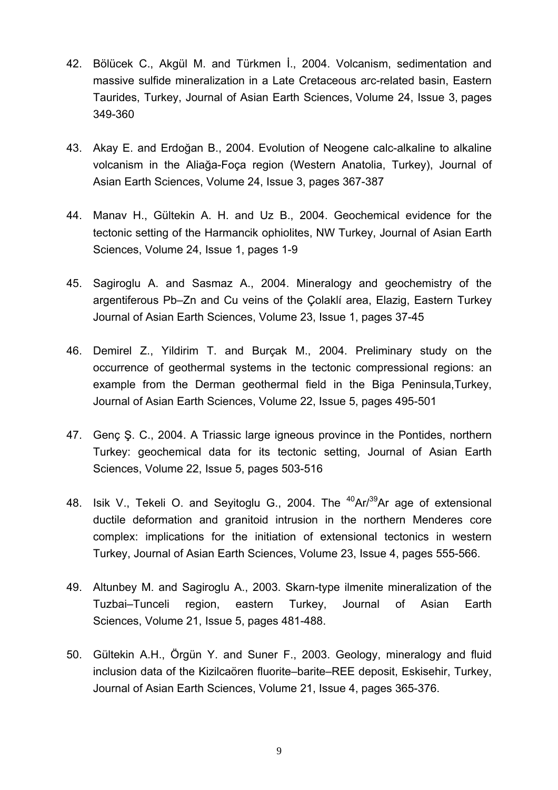- 42. Bölücek C., Akgül M. and Türkmen İ., 2004. Volcanism, sedimentation and massive sulfide mineralization in a Late Cretaceous arc-related basin, Eastern Taurides, Turkey, Journal of Asian Earth Sciences, Volume 24, Issue 3, pages 349-360
- 43. Akay E. and Erdoğan B., 2004. Evolution of Neogene calc-alkaline to alkaline volcanism in the Aliağa-Foça region (Western Anatolia, Turkey), Journal of Asian Earth Sciences, Volume 24, Issue 3, pages 367-387
- 44. Manav H., Gültekin A. H. and Uz B., 2004. Geochemical evidence for the tectonic setting of the Harmancik ophiolites, NW Turkey, Journal of Asian Earth Sciences, Volume 24, Issue 1, pages 1-9
- 45. Sagiroglu A. and Sasmaz A., 2004. Mineralogy and geochemistry of the argentiferous Pb–Zn and Cu veins of the Çolaklí area, Elazig, Eastern Turkey Journal of Asian Earth Sciences, Volume 23, Issue 1, pages 37-45
- 46. Demirel Z., Yildirim T. and Burçak M., 2004. Preliminary study on the occurrence of geothermal systems in the tectonic compressional regions: an example from the Derman geothermal field in the Biga Peninsula,Turkey, Journal of Asian Earth Sciences, Volume 22, Issue 5, pages 495-501
- 47. Genç Ş. C., 2004. A Triassic large igneous province in the Pontides, northern Turkey: geochemical data for its tectonic setting, Journal of Asian Earth Sciences, Volume 22, Issue 5, pages 503-516
- 48. Isik V., Tekeli O. and Seyitoglu G., 2004. The  $40$ Ar/ $39$ Ar age of extensional ductile deformation and granitoid intrusion in the northern Menderes core complex: implications for the initiation of extensional tectonics in western Turkey, Journal of Asian Earth Sciences, Volume 23, Issue 4, pages 555-566.
- 49. Altunbey M. and Sagiroglu A., 2003. Skarn-type ilmenite mineralization of the Tuzbai–Tunceli region, eastern Turkey, Journal of Asian Earth Sciences, Volume 21, Issue 5, pages 481-488.
- 50. Gültekin A.H., Örgün Y. and Suner F., 2003. Geology, mineralogy and fluid inclusion data of the Kizilcaören fluorite–barite–REE deposit, Eskisehir, Turkey, Journal of Asian Earth Sciences, Volume 21, Issue 4, pages 365-376.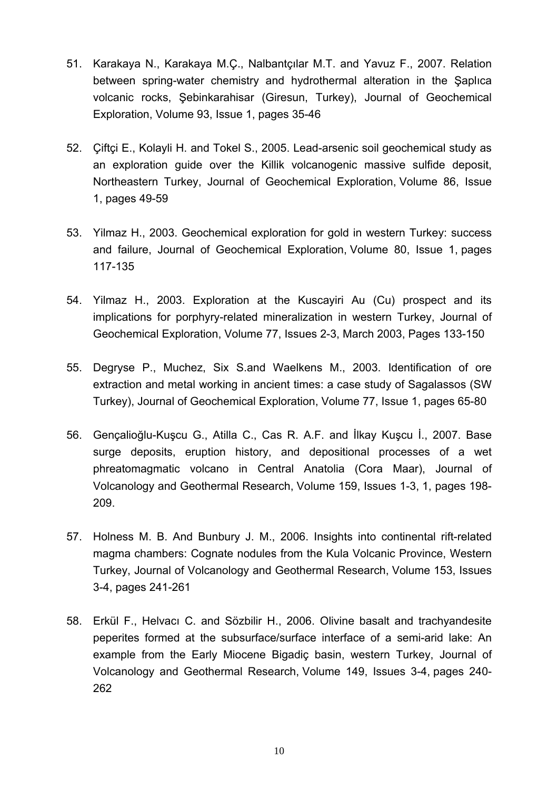- 51. Karakaya N., Karakaya M.Ç., Nalbantçılar M.T. and Yavuz F., 2007. Relation between spring-water chemistry and hydrothermal alteration in the Şaplıca volcanic rocks, Şebinkarahisar (Giresun, Turkey), Journal of Geochemical Exploration, Volume 93, Issue 1, pages 35-46
- 52. Çiftçi E., Kolayli H. and Tokel S., 2005. Lead-arsenic soil geochemical study as an exploration guide over the Killik volcanogenic massive sulfide deposit, Northeastern Turkey, Journal of Geochemical Exploration, Volume 86, Issue 1, pages 49-59
- 53. Yilmaz H., 2003. Geochemical exploration for gold in western Turkey: success and failure, Journal of Geochemical Exploration, Volume 80, Issue 1, pages 117-135
- 54. Yilmaz H., 2003. Exploration at the Kuscayiri Au (Cu) prospect and its implications for porphyry-related mineralization in western Turkey, Journal of Geochemical Exploration, Volume 77, Issues 2-3, March 2003, Pages 133-150
- 55. Degryse P., Muchez, Six S.and Waelkens M., 2003. Identification of ore extraction and metal working in ancient times: a case study of Sagalassos (SW Turkey), Journal of Geochemical Exploration, Volume 77, Issue 1, pages 65-80
- 56. Gençalioğlu-Kuşcu G., Atilla C., Cas R. A.F. and İlkay Kuşcu İ., 2007. Base surge deposits, eruption history, and depositional processes of a wet phreatomagmatic volcano in Central Anatolia (Cora Maar), Journal of Volcanology and Geothermal Research, Volume 159, Issues 1-3, 1, pages 198- 209.
- 57. Holness M. B. And Bunbury J. M., 2006. Insights into continental rift-related magma chambers: Cognate nodules from the Kula Volcanic Province, Western Turkey, Journal of Volcanology and Geothermal Research, Volume 153, Issues 3-4, pages 241-261
- 58. Erkül F., Helvacı C. and Sözbilir H., 2006. Olivine basalt and trachyandesite peperites formed at the subsurface/surface interface of a semi-arid lake: An example from the Early Miocene Bigadiç basin, western Turkey, Journal of Volcanology and Geothermal Research, Volume 149, Issues 3-4, pages 240- 262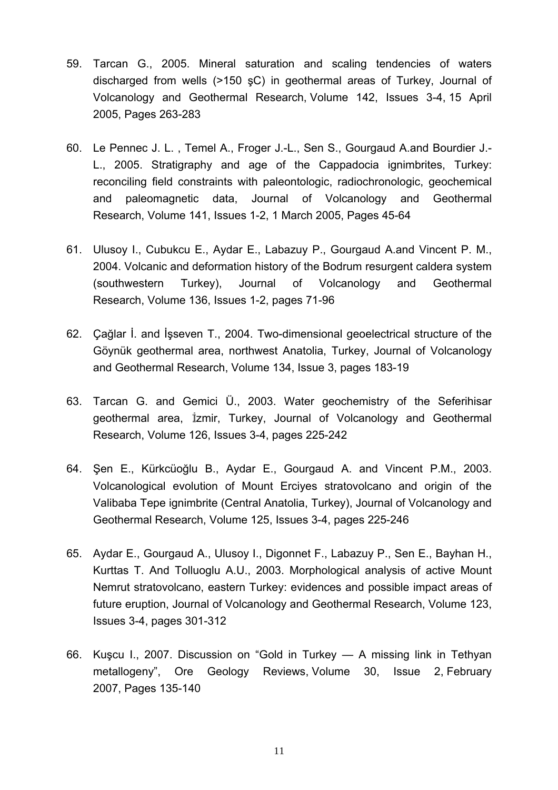- 59. Tarcan G., 2005. Mineral saturation and scaling tendencies of waters discharged from wells (>150 şC) in geothermal areas of Turkey, Journal of Volcanology and Geothermal Research, Volume 142, Issues 3-4, 15 April 2005, Pages 263-283
- 60. Le Pennec J. L. , Temel A., Froger J.-L., Sen S., Gourgaud A.and Bourdier J.- L., 2005. Stratigraphy and age of the Cappadocia ignimbrites, Turkey: reconciling field constraints with paleontologic, radiochronologic, geochemical and paleomagnetic data, Journal of Volcanology and Geothermal Research, Volume 141, Issues 1-2, 1 March 2005, Pages 45-64
- 61. Ulusoy I., Cubukcu E., Aydar E., Labazuy P., Gourgaud A.and Vincent P. M., 2004. Volcanic and deformation history of the Bodrum resurgent caldera system (southwestern Turkey), Journal of Volcanology and Geothermal Research, Volume 136, Issues 1-2, pages 71-96
- 62. Çağlar İ. and İşseven T., 2004. Two-dimensional geoelectrical structure of the Göynük geothermal area, northwest Anatolia, Turkey, Journal of Volcanology and Geothermal Research, Volume 134, Issue 3, pages 183-19
- 63. Tarcan G. and Gemici Ü., 2003. Water geochemistry of the Seferihisar geothermal area, Izmir, Turkey, Journal of Volcanology and Geothermal Research, Volume 126, Issues 3-4, pages 225-242
- 64. Şen E., Kürkcüoğlu B., Aydar E., Gourgaud A. and Vincent P.M., 2003. Volcanological evolution of Mount Erciyes stratovolcano and origin of the Valibaba Tepe ignimbrite (Central Anatolia, Turkey), Journal of Volcanology and Geothermal Research, Volume 125, Issues 3-4, pages 225-246
- 65. Aydar E., Gourgaud A., Ulusoy I., Digonnet F., Labazuy P., Sen E., Bayhan H., Kurttas T. And Tolluoglu A.U., 2003. Morphological analysis of active Mount Nemrut stratovolcano, eastern Turkey: evidences and possible impact areas of future eruption, Journal of Volcanology and Geothermal Research, Volume 123, Issues 3-4, pages 301-312
- 66. Kuşcu I., 2007. Discussion on "Gold in Turkey A missing link in Tethyan metallogeny", Ore Geology Reviews, Volume 30, Issue 2, February 2007, Pages 135-140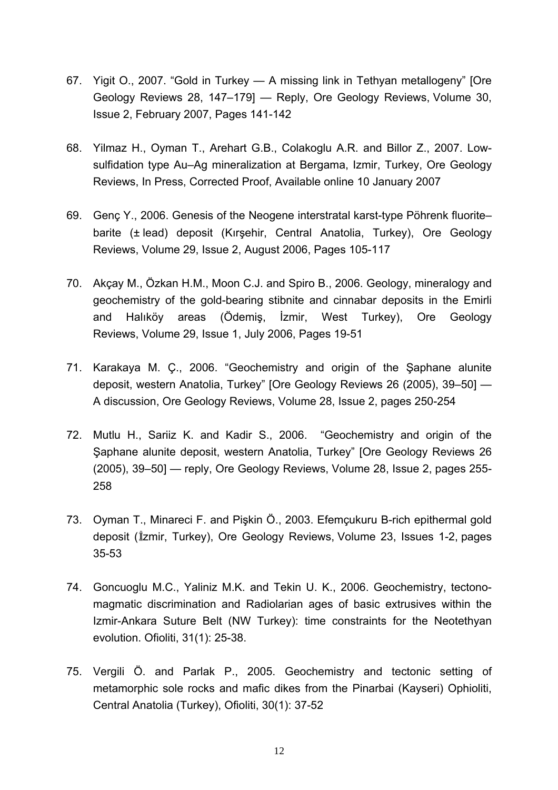- 67. Yigit O., 2007. "Gold in Turkey A missing link in Tethyan metallogeny" [Ore Geology Reviews 28, 147–179] — Reply, Ore Geology Reviews, Volume 30, Issue 2, February 2007, Pages 141-142
- 68. Yilmaz H., Oyman T., Arehart G.B., Colakoglu A.R. and Billor Z., 2007. Lowsulfidation type Au–Ag mineralization at Bergama, Izmir, Turkey, Ore Geology Reviews, In Press, Corrected Proof, Available online 10 January 2007
- 69. Genç Y., 2006. Genesis of the Neogene interstratal karst-type Pöhrenk fluorite– barite (± lead) deposit (Kırşehir, Central Anatolia, Turkey), Ore Geology Reviews, Volume 29, Issue 2, August 2006, Pages 105-117
- 70. Akçay M., Özkan H.M., Moon C.J. and Spiro B., 2006. Geology, mineralogy and geochemistry of the gold-bearing stibnite and cinnabar deposits in the Emirli and Halıköy areas (Ödemiş, İzmir, West Turkey), Ore Geology Reviews, Volume 29, Issue 1, July 2006, Pages 19-51
- 71. Karakaya M. Ç., 2006. "Geochemistry and origin of the Şaphane alunite deposit, western Anatolia, Turkey" [Ore Geology Reviews 26 (2005), 39–50] — A discussion, Ore Geology Reviews, Volume 28, Issue 2, pages 250-254
- 72. Mutlu H., Sariiz K. and Kadir S., 2006. "Geochemistry and origin of the Şaphane alunite deposit, western Anatolia, Turkey" [Ore Geology Reviews 26 (2005), 39–50] — reply, Ore Geology Reviews, Volume 28, Issue 2, pages 255- 258
- 73. Oyman T., Minareci F. and Pişkin Ö., 2003. Efemçukuru B-rich epithermal gold deposit (Izmir, Turkey), Ore Geology Reviews, Volume 23, Issues 1-2, pages 35-53
- 74. Goncuoglu M.C., Yaliniz M.K. and Tekin U. K., 2006. Geochemistry, tectonomagmatic discrimination and Radiolarian ages of basic extrusives within the Izmir-Ankara Suture Belt (NW Turkey): time constraints for the Neotethyan evolution. Ofioliti, 31(1): 25-38.
- 75. Vergili Ö. and Parlak P., 2005. Geochemistry and tectonic setting of metamorphic sole rocks and mafic dikes from the Pinarbai (Kayseri) Ophioliti, Central Anatolia (Turkey), Ofioliti, 30(1): 37-52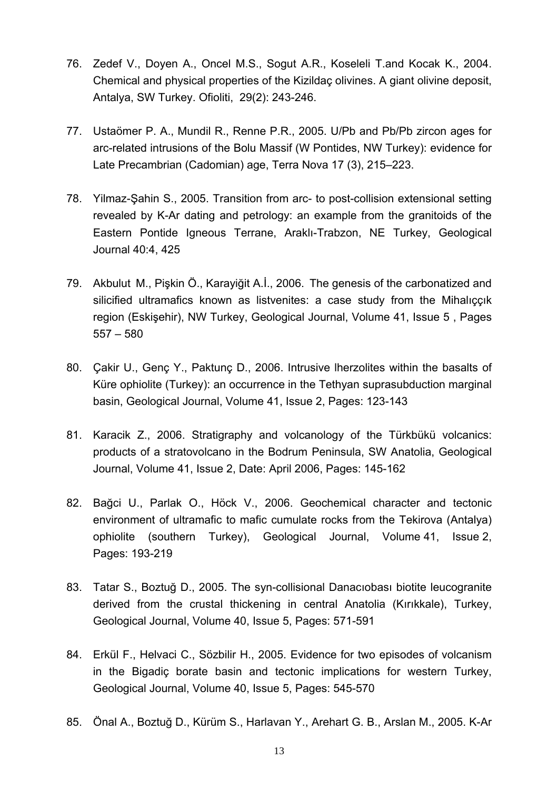- 76. Zedef V., Doyen A., Oncel M.S., Sogut A.R., Koseleli T.and Kocak K., 2004. Chemical and physical properties of the Kizildaç olivines. A giant olivine deposit, Antalya, SW Turkey. Ofioliti, 29(2): 243-246.
- 77. Ustaömer P. A., Mundil R., Renne P.R., 2005. U/Pb and Pb/Pb zircon ages for arc-related intrusions of the Bolu Massif (W Pontides, NW Turkey): evidence for Late Precambrian (Cadomian) age, Terra Nova 17 (3), 215–223.
- 78. Yilmaz-Şahin S., 2005. Transition from arc- to post-collision extensional setting revealed by K-Ar dating and petrology: an example from the granitoids of the Eastern Pontide Igneous Terrane, Araklı-Trabzon, NE Turkey, Geological Journal 40:4, 425
- 79. Akbulut M., Pişkin Ö., Karayiğit A.İ., 2006. The genesis of the carbonatized and silicified ultramafics known as listvenites: a case study from the Mihalıççık region (Eskişehir), NW Turkey, Geological Journal, [Volume 41, Issue 5](http://www3.interscience.wiley.com/cgi-bin/jissue/113411830) , Pages 557 – 580
- 80. Çakir U., Genç Y., Paktunç D., 2006. Intrusive lherzolites within the basalts of Küre ophiolite (Turkey): an occurrence in the Tethyan suprasubduction marginal basin, Geological Journal, Volume 41, Issue 2, Pages: 123-143
- 81. Karacik Z., 2006. Stratigraphy and volcanology of the Türkbükü volcanics: products of a stratovolcano in the Bodrum Peninsula, SW Anatolia, Geological Journal, Volume 41, Issue 2, Date: April 2006, Pages: 145-162
- 82. Bağci U., Parlak O., Höck V., 2006. Geochemical character and tectonic environment of ultramafic to mafic cumulate rocks from the Tekirova (Antalya) ophiolite (southern Turkey), Geological Journal, Volume 41, Issue 2, Pages: 193-219
- 83. Tatar S., Boztuğ D., 2005. The syn-collisional Danacıobası biotite leucogranite derived from the crustal thickening in central Anatolia (Kırıkkale), Turkey, Geological Journal, Volume 40, Issue 5, Pages: 571-591
- 84. Erkül F., Helvaci C., Sözbilir H., 2005. Evidence for two episodes of volcanism in the Bigadiç borate basin and tectonic implications for western Turkey, Geological Journal, Volume 40, Issue 5, Pages: 545-570
- 85. Önal A., Boztuğ D., Kürüm S., Harlavan Y., Arehart G. B., Arslan M., 2005. K-Ar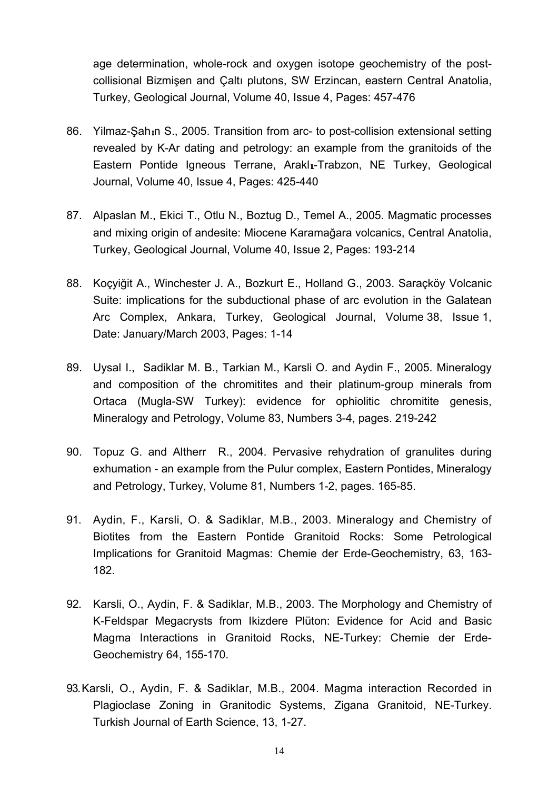age determination, whole-rock and oxygen isotope geochemistry of the postcollisional Bizmişen and Çaltı plutons, SW Erzincan, eastern Central Anatolia, Turkey, Geological Journal, Volume 40, Issue 4, Pages: 457-476

- 86. Yilmaz-Sah n S., 2005. Transition from arc- to post-collision extensional setting revealed by K-Ar dating and petrology: an example from the granitoids of the Eastern Pontide Igneous Terrane, Arakl<sub>1</sub>-Trabzon, NE Turkey, Geological Journal, Volume 40, Issue 4, Pages: 425-440
- 87. Alpaslan M., Ekici T., Otlu N., Boztug D., Temel A., 2005. Magmatic processes and mixing origin of andesite: Miocene Karamağara volcanics, Central Anatolia, Turkey, Geological Journal, Volume 40, Issue 2, Pages: 193-214
- 88. Koçyiğit A., Winchester J. A., Bozkurt E., Holland G., 2003. Saraçköy Volcanic Suite: implications for the subductional phase of arc evolution in the Galatean Arc Complex, Ankara, Turkey, Geological Journal, Volume 38, Issue 1, Date: January/March 2003, Pages: 1-14
- 89. [Uysal](http://www.springerlink.com/content/?Author=I.+Uysal) I., [Sadiklar](http://www.springerlink.com/content/?Author=M.+B.+Sadiklar) M. B., [Tarkian](http://www.springerlink.com/content/?Author=M.+Tarkian) M., [Karsli](http://www.springerlink.com/content/?Author=O.+Karsli) O. and [Aydin](http://www.springerlink.com/content/?Author=F.+Aydin) F., 2005. [Mineralogy](http://www.springerlink.com/content/4ul0dje8njh6afr0/?p=a0332d220ba544f5869489d91683dfb8&pi=2)  [and composition of the chromitites and their platinum-group minerals from](http://www.springerlink.com/content/4ul0dje8njh6afr0/?p=a0332d220ba544f5869489d91683dfb8&pi=2)  [Ortaca \(Mugla-SW Turkey\): evidence for ophiolitic chromitite genesis](http://www.springerlink.com/content/4ul0dje8njh6afr0/?p=a0332d220ba544f5869489d91683dfb8&pi=2), Mineralogy and Petrology, Volume 83, Numbers 3-4, pages. 219-242
- 90. [Topuz](http://www.springerlink.com/content/?Author=G.+Topuz) G. an[d Altherr](http://www.springerlink.com/content/?Author=R.+Altherr) R., 2004. [Pervasive rehydration of granulites during](http://www.springerlink.com/content/uy7wnvjtee4812fu/?p=a0332d220ba544f5869489d91683dfb8&pi=4)  [exhumation - an example from the Pulur complex, Eastern Pontides, Mineralogy](http://www.springerlink.com/content/uy7wnvjtee4812fu/?p=a0332d220ba544f5869489d91683dfb8&pi=4)  [and Petrology, Turkey,](http://www.springerlink.com/content/uy7wnvjtee4812fu/?p=a0332d220ba544f5869489d91683dfb8&pi=4) [Volume 81, Numbers 1-2,](http://www.springerlink.com/content/qr04krlchxvk/) pages. 165-85.
- 91. Aydin, F., Karsli, O. & Sadiklar, M.B., 2003. Mineralogy and Chemistry of Biotites from the Eastern Pontide Granitoid Rocks: Some Petrological Implications for Granitoid Magmas: Chemie der Erde-Geochemistry, 63, 163- 182.
- 92. Karsli, O., Aydin, F. & Sadiklar, M.B., 2003. The Morphology and Chemistry of K-Feldspar Megacrysts from Ikizdere Plüton: Evidence for Acid and Basic Magma Interactions in Granitoid Rocks, NE-Turkey: Chemie der Erde-Geochemistry 64, 155-170.
- 93.Karsli, O., Aydin, F. & Sadiklar, M.B., 2004. Magma interaction Recorded in Plagioclase Zoning in Granitodic Systems, Zigana Granitoid, NE-Turkey. Turkish Journal of Earth Science, 13, 1-27.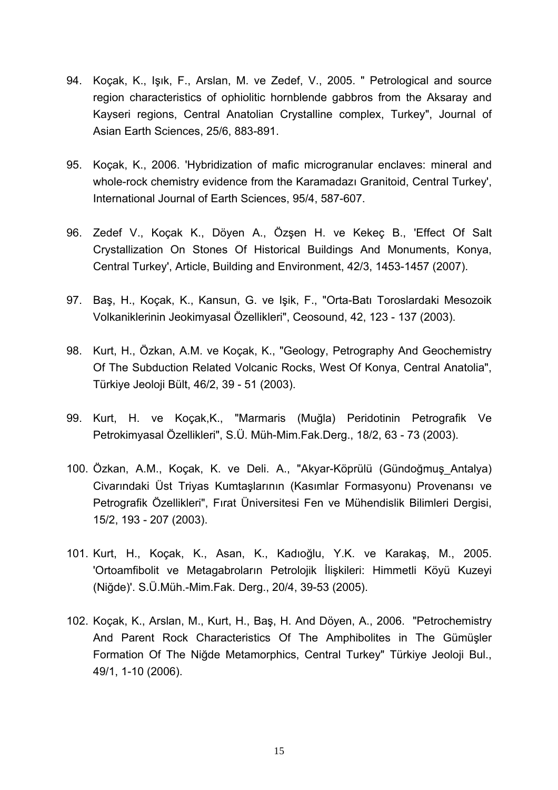- 94. Koçak, K., Işık, F., Arslan, M. ve Zedef, V., 2005. " Petrological and source region characteristics of ophiolitic hornblende gabbros from the Aksaray and Kayseri regions, Central Anatolian Crystalline complex, Turkey", Journal of Asian Earth Sciences, 25/6, 883-891.
- 95. Koçak, K., 2006. 'Hybridization of mafic microgranular enclaves: mineral and whole-rock chemistry evidence from the Karamadazı Granitoid, Central Turkey', International Journal of Earth Sciences, 95/4, 587-607.
- 96. Zedef V., Koçak K., Döyen A., Özşen H. ve Kekeç B., 'Effect Of Salt Crystallization On Stones Of Historical Buildings And Monuments, Konya, Central Turkey', Article, Building and Environment, 42/3, 1453-1457 (2007).
- 97. Baş, H., Koçak, K., Kansun, G. ve Işik, F., "Orta-Batı Toroslardaki Mesozoik Volkaniklerinin Jeokimyasal Özellikleri", Ceosound, 42, 123 - 137 (2003).
- 98. Kurt, H., Özkan, A.M. ve Koçak, K., "Geology, Petrography And Geochemistry Of The Subduction Related Volcanic Rocks, West Of Konya, Central Anatolia", Türkiye Jeoloji Bült, 46/2, 39 - 51 (2003).
- 99. Kurt, H. ve Koçak,K., "Marmaris (Muğla) Peridotinin Petrografik Ve Petrokimyasal Özellikleri", S.Ü. Müh-Mim.Fak.Derg., 18/2, 63 - 73 (2003).
- 100. Özkan, A.M., Koçak, K. ve Deli. A., "Akyar-Köprülü (Gündoğmuş\_Antalya) Civarındaki Üst Triyas Kumtaşlarının (Kasımlar Formasyonu) Provenansı ve Petrografik Özellikleri", Fırat Üniversitesi Fen ve Mühendislik Bilimleri Dergisi, 15/2, 193 - 207 (2003).
- 101. Kurt, H., Koçak, K., Asan, K., Kadıoğlu, Y.K. ve Karakaş, M., 2005. 'Ortoamfibolit ve Metagabroların Petrolojik İlişkileri: Himmetli Köyü Kuzeyi (Niğde)'. S.Ü.Müh.-Mim.Fak. Derg., 20/4, 39-53 (2005).
- 102. Koçak, K., Arslan, M., Kurt, H., Baş, H. And Döyen, A., 2006. "Petrochemistry And Parent Rock Characteristics Of The Amphibolites in The Gümüşler Formation Of The Niğde Metamorphics, Central Turkey" Türkiye Jeoloji Bul., 49/1, 1-10 (2006).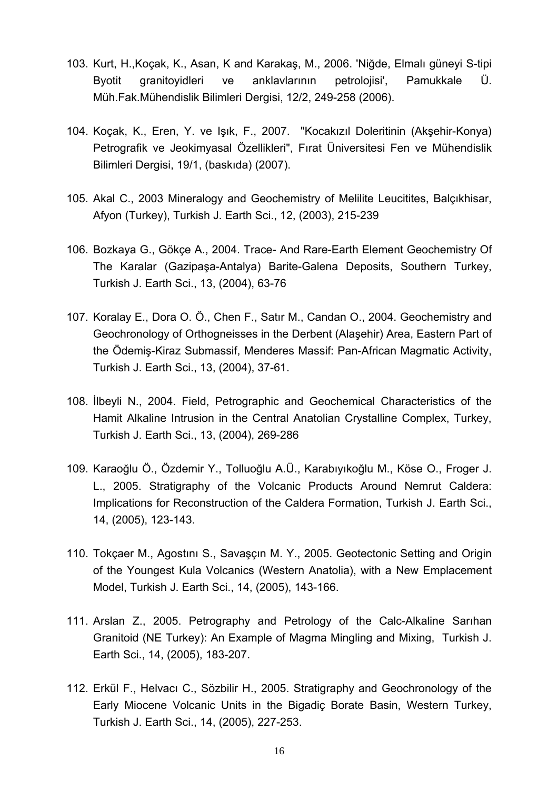- 103. Kurt, H.,Koçak, K., Asan, K and Karakaş, M., 2006. 'Niğde, Elmalı güneyi S-tipi Byotit granitoyidleri ve anklavlarının petrolojisi', Pamukkale Ü. Müh.Fak.Mühendislik Bilimleri Dergisi, 12/2, 249-258 (2006).
- 104. Koçak, K., Eren, Y. ve Işık, F., 2007. "Kocakızıl Doleritinin (Akşehir-Konya) Petrografik ve Jeokimyasal Özellikleri", Fırat Üniversitesi Fen ve Mühendislik Bilimleri Dergisi, 19/1, (baskıda) (2007).
- 105. Akal C., 2003 Mineralogy and Geochemistry of Melilite Leucitites, Balçıkhisar, Afyon (Turkey), Turkish J. Earth Sci., 12, (2003), 215-239
- 106. Bozkaya G., Gökçe A., 2004. Trace- And Rare-Earth Element Geochemistry Of The Karalar (Gazipaşa-Antalya) Barite-Galena Deposits, Southern Turkey, Turkish J. Earth Sci., 13, (2004), 63-76
- 107. Koralay E., Dora O. Ö., Chen F., Satır M., Candan O., 2004. Geochemistry and Geochronology of Orthogneisses in the Derbent (Alaşehir) Area, Eastern Part of the Ödemiş-Kiraz Submassif, Menderes Massif: Pan-African Magmatic Activity, Turkish J. Earth Sci., 13, (2004), 37-61.
- 108. İlbeyli N., 2004. Field, Petrographic and Geochemical Characteristics of the Hamit Alkaline Intrusion in the Central Anatolian Crystalline Complex, Turkey, Turkish J. Earth Sci., 13, (2004), 269-286
- 109. Karaoğlu Ö., Özdemir Y., Tolluoğlu A.Ü., Karabıyıkoğlu M., Köse O., Froger J. L., 2005. Stratigraphy of the Volcanic Products Around Nemrut Caldera: Implications for Reconstruction of the Caldera Formation, Turkish J. Earth Sci., 14, (2005), 123-143.
- 110. Tokçaer M., Agostını S., Savaşçın M. Y., 2005. Geotectonic Setting and Origin of the Youngest Kula Volcanics (Western Anatolia), with a New Emplacement Model, Turkish J. Earth Sci., 14, (2005), 143-166.
- 111. Arslan Z., 2005. Petrography and Petrology of the Calc-Alkaline Sarıhan Granitoid (NE Turkey): An Example of Magma Mingling and Mixing, Turkish J. Earth Sci., 14, (2005), 183-207.
- 112. Erkül F., Helvacı C., Sözbilir H., 2005. Stratigraphy and Geochronology of the Early Miocene Volcanic Units in the Bigadiç Borate Basin, Western Turkey, Turkish J. Earth Sci., 14, (2005), 227-253.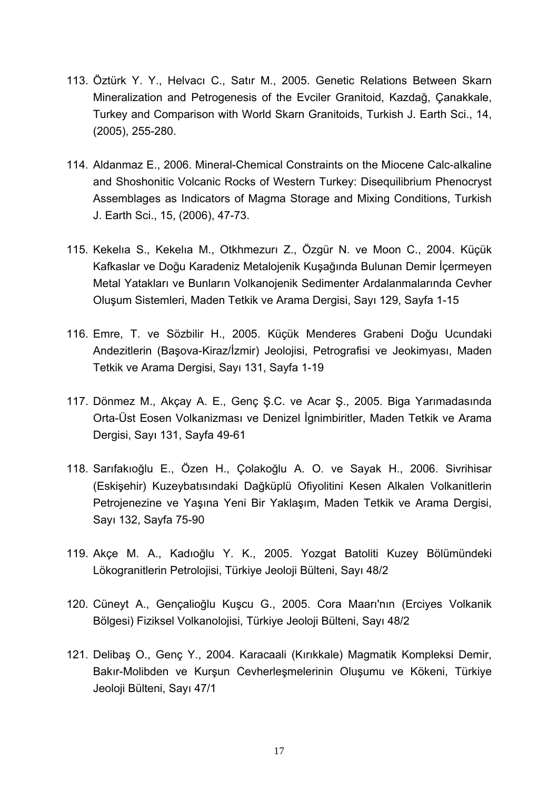- 113. Öztürk Y. Y., Helvacı C., Satır M., 2005. Genetic Relations Between Skarn Mineralization and Petrogenesis of the Evciler Granitoid, Kazdağ, Çanakkale, Turkey and Comparison with World Skarn Granitoids, Turkish J. Earth Sci., 14, (2005), 255-280.
- 114. Aldanmaz E., 2006. Mineral-Chemical Constraints on the Miocene Calc-alkaline and Shoshonitic Volcanic Rocks of Western Turkey: Disequilibrium Phenocryst Assemblages as Indicators of Magma Storage and Mixing Conditions, Turkish J. Earth Sci., 15, (2006), 47-73.
- 115. Kekelıa S., Kekelıa M., Otkhmezurı Z., Özgür N. ve Moon C., 2004. Küçük Kafkaslar ve Doğu Karadeniz Metalojenik Kuşağında Bulunan Demir İçermeyen Metal Yatakları ve Bunların Volkanojenik Sedimenter Ardalanmalarında Cevher Oluşum Sistemleri, Maden Tetkik ve Arama Dergisi, Sayı 129, Sayfa 1-15
- 116. Emre, T. ve Sözbilir H., 2005. Küçük Menderes Grabeni Doğu Ucundaki Andezitlerin (Başova-Kiraz/İzmir) Jeolojisi, Petrografisi ve Jeokimyası, Maden Tetkik ve Arama Dergisi, Sayı 131, Sayfa 1-19
- 117. Dönmez M., Akçay A. E., Genç Ş.C. ve Acar Ş., 2005. Biga Yarımadasında Orta-Üst Eosen Volkanizması ve Denizel İgnimbiritler, Maden Tetkik ve Arama Dergisi, Sayı 131, Sayfa 49-61
- 118. Sarıfakıoğlu E., Özen H., Çolakoğlu A. O. ve Sayak H., 2006. Sivrihisar (Eskişehir) Kuzeybatısındaki Dağküplü Ofiyolitini Kesen Alkalen Volkanitlerin Petrojenezine ve Yaşına Yeni Bir Yaklaşım, Maden Tetkik ve Arama Dergisi, Sayı 132, Sayfa 75-90
- 119. Akçe M. A., Kadıoğlu Y. K., 2005. Yozgat Batoliti Kuzey Bölümündeki Lökogranitlerin Petrolojisi, Türkiye Jeoloji Bülteni, Sayı 48/2
- 120. Cüneyt A., Gençalioğlu Kuşcu G., 2005. Cora Maarı'nın (Erciyes Volkanik Bölgesi) Fiziksel Volkanolojisi, Türkiye Jeoloji Bülteni, Sayı 48/2
- 121. Delibaş O., Genç Y., 2004. Karacaali (Kırıkkale) Magmatik Kompleksi Demir, Bakır-Molibden ve Kurşun Cevherleşmelerinin Oluşumu ve Kökeni, Türkiye Jeoloji Bülteni, Sayı 47/1